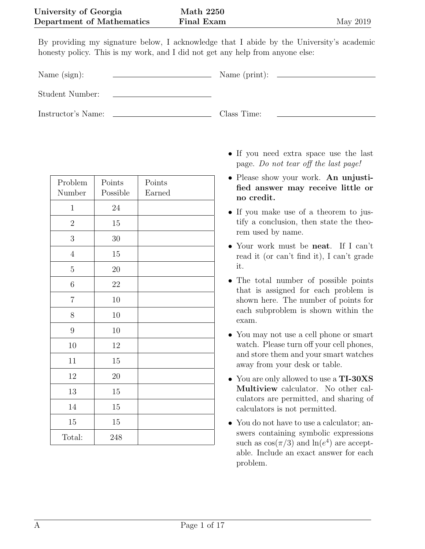By providing my signature below, I acknowledge that I abide by the University's academic honesty policy. This is my work, and I did not get any help from anyone else:

Name (sign): Name (print):

Student Number:

Instructor's Name: Class Time:

| Problem<br>Number | Points<br>Possible | Points<br>Earned |
|-------------------|--------------------|------------------|
| $\mathbf 1$       | $24\,$             |                  |
| $\overline{2}$    | 15                 |                  |
| 3                 | $30\,$             |                  |
| $\sqrt{4}$        | 15                 |                  |
| $\overline{5}$    | $20\,$             |                  |
| $\!6\,$           | $22\,$             |                  |
| $\overline{7}$    | 10                 |                  |
| 8                 | 10                 |                  |
| 9                 | 10                 |                  |
| 10                | $12\,$             |                  |
| $11\,$            | $15\,$             |                  |
| $12\,$            | 20                 |                  |
| 13                | 15                 |                  |
| $14\,$            | 15                 |                  |
| 15                | $15\,$             |                  |
| Total:            | 248                |                  |

- If you need extra space use the last page. Do not tear off the last page!
- Please show your work. An unjustified answer may receive little or no credit.
- If you make use of a theorem to justify a conclusion, then state the theorem used by name.
- Your work must be **neat**. If I can't read it (or can't find it), I can't grade it.
- The total number of possible points that is assigned for each problem is shown here. The number of points for each subproblem is shown within the exam.
- You may not use a cell phone or smart watch. Please turn off your cell phones, and store them and your smart watches away from your desk or table.
- You are only allowed to use a TI-30XS Multiview calculator. No other calculators are permitted, and sharing of calculators is not permitted.
- You do not have to use a calculator; answers containing symbolic expressions such as  $\cos(\pi/3)$  and  $\ln(e^4)$  are acceptable. Include an exact answer for each problem.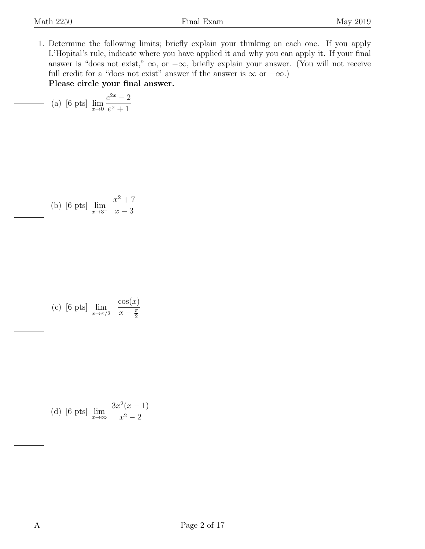<span id="page-1-0"></span>1. Determine the following limits; briefly explain your thinking on each one. If you apply L'Hopital's rule, indicate where you have applied it and why you can apply it. If your final answer is "does not exist,"  $\infty$ , or  $-\infty$ , briefly explain your answer. (You will not receive full credit for a "does not exist" answer if the answer is  $\infty$  or  $-\infty$ .) Please circle your final answer.

(a) [6 pts] 
$$
\lim_{x \to 0} \frac{e^{2x} - 2}{e^x + 1}
$$

(b) [6 pts] 
$$
\lim_{x \to 3^{-}} \frac{x^2 + 7}{x - 3}
$$

(c) [6 pts] 
$$
\lim_{x \to \pi/2} \frac{\cos(x)}{x - \frac{\pi}{2}}
$$

(d) [6 pts] 
$$
\lim_{x \to \infty} \frac{3x^2(x-1)}{x^2-2}
$$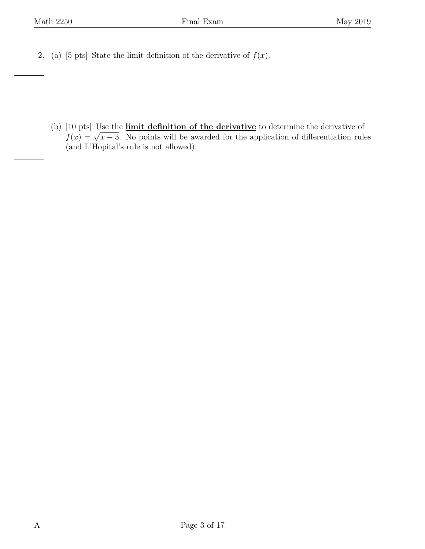<span id="page-2-0"></span>2. (a) [5 pts] State the limit definition of the derivative of  $f(x)$ .

(b) [10 pts] Use the *limit definition of the derivative* to determine the derivative of (10 pts) Ose the **influ definition of the derivative** to determine the derivative of  $f(x) = \sqrt{x-3}$ . No points will be awarded for the application of differentiation rules (and L'Hopital's rule is not allowed).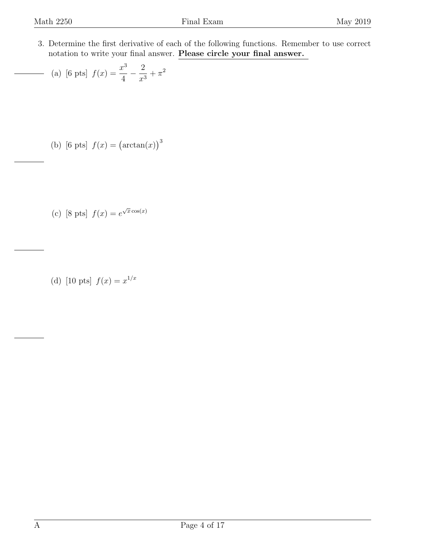<span id="page-3-0"></span>3. Determine the first derivative of each of the following functions. Remember to use correct notation to write your final answer. Please circle your final answer.

(a) [6 pts] 
$$
f(x) = \frac{x^3}{4} - \frac{2}{x^3} + \pi^2
$$

- (b) [6 pts]  $f(x) = (\arctan(x))^3$
- (c) [8 pts]  $f(x) = e^{\sqrt{x} \cos(x)}$

(d) [10 pts]  $f(x) = x^{1/x}$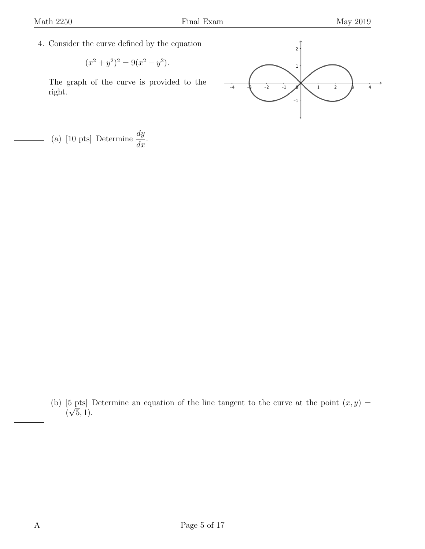<span id="page-4-0"></span>4. Consider the curve defined by the equation

$$
(x^2 + y^2)^2 = 9(x^2 - y^2).
$$

The graph of the curve is provided to the right.



(a) [10 pts] Determine  $\frac{dy}{dx}$  $\frac{dy}{dx}$ .

(b) [5 pts] Determine an equation of the line tangent to the curve at the point  $(x, y) =$  $(\sqrt{5}, 1).$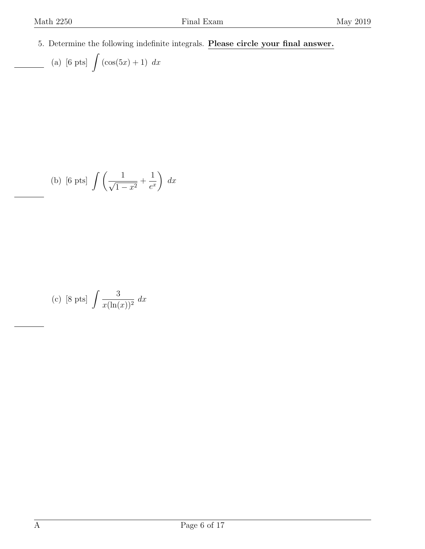<span id="page-5-0"></span>5. Determine the following indefinite integrals. Please circle your final answer.

(a) [6 pts] 
$$
\int (\cos(5x) + 1) dx
$$

(b) [6 pts] 
$$
\int \left(\frac{1}{\sqrt{1-x^2}} + \frac{1}{e^x}\right) dx
$$

(c) [8 pts] 
$$
\int \frac{3}{x(\ln(x))^2} dx
$$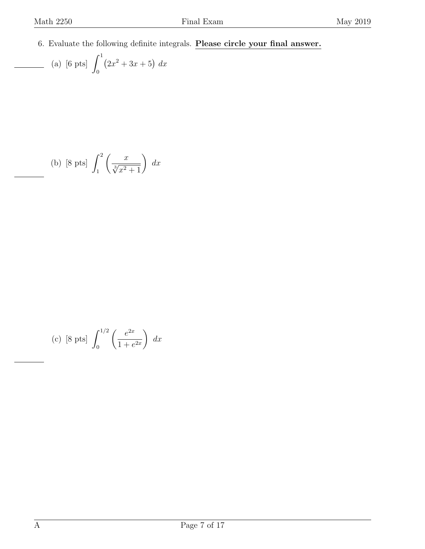<span id="page-6-0"></span>6. Evaluate the following definite integrals. Please circle your final answer.

(a) [6 pts] 
$$
\int_0^1 (2x^2 + 3x + 5) dx
$$

(b) [8 pts] 
$$
\int_{1}^{2} \left( \frac{x}{\sqrt[3]{x^2 + 1}} \right) dx
$$

(c) [8 pts] 
$$
\int_0^{1/2} \left( \frac{e^{2x}}{1 + e^{2x}} \right) dx
$$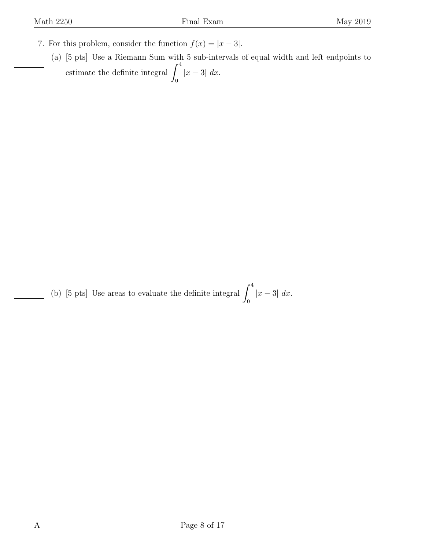- <span id="page-7-0"></span>7. For this problem, consider the function  $f(x) = |x - 3|$ .
	- (a) [5 pts] Use a Riemann Sum with 5 sub-intervals of equal width and left endpoints to estimate the definite integral  $\int_0^4$ 0  $|x-3| dx$ .

(b) [5 pts] Use areas to evaluate the definite integral  $\int_0^4$ 0  $|x-3| dx$ .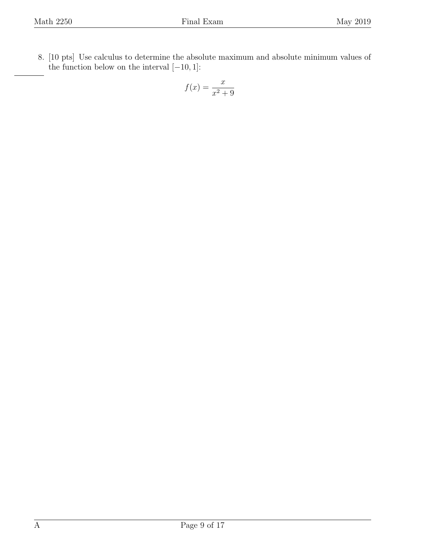<span id="page-8-0"></span>8. [10 pts] Use calculus to determine the absolute maximum and absolute minimum values of the function below on the interval  $[-10, 1]$ :

$$
f(x) = \frac{x}{x^2 + 9}
$$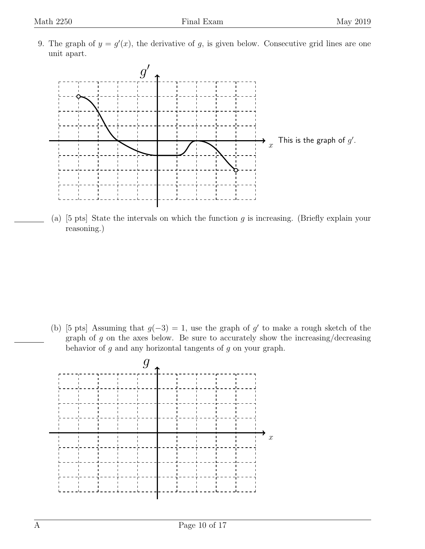<span id="page-9-0"></span>9. The graph of  $y = g'(x)$ , the derivative of g, is given below. Consecutive grid lines are one unit apart.



(a)  $[5 \text{ pts}]$  State the intervals on which the function g is increasing. (Briefly explain your reasoning.)

(b) [5 pts] Assuming that  $g(-3) = 1$ , use the graph of g' to make a rough sketch of the graph of  $g$  on the axes below. Be sure to accurately show the increasing/decreasing behavior of  $g$  and any horizontal tangents of  $g$  on your graph.

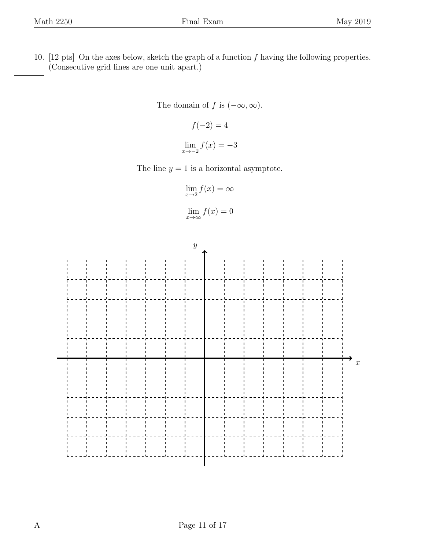<span id="page-10-0"></span>10. [12 pts] On the axes below, sketch the graph of a function  $f$  having the following properties. (Consecutive grid lines are one unit apart.)

The domain of f is  $(-\infty, \infty)$ .

$$
f(-2) = 4
$$

$$
\lim_{x \to -2} f(x) = -3
$$

The line  $y = 1$  is a horizontal asymptote.

$$
\lim_{x \to 2} f(x) = \infty
$$

$$
\lim_{x \to \infty} f(x) = 0
$$

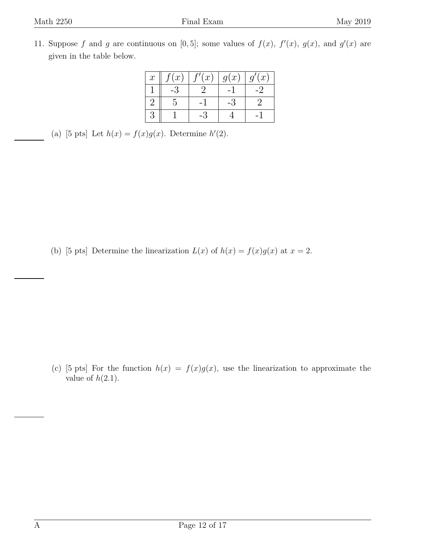<span id="page-11-0"></span>11. Suppose f and g are continuous on [0,5]; some values of  $f(x)$ ,  $f'(x)$ ,  $g(x)$ , and  $g'(x)$  are given in the table below.

| $\mathcal{X}$ | (x) | (x) | g(x) | q'(x) |
|---------------|-----|-----|------|-------|
|               |     |     |      |       |
|               |     |     |      |       |
|               |     |     |      |       |

<sup>(</sup>a) [5 pts] Let  $h(x) = f(x)g(x)$ . Determine  $h'(2)$ .

(b) [5 pts] Determine the linearization  $L(x)$  of  $h(x) = f(x)g(x)$  at  $x = 2$ .

(c) [5 pts] For the function  $h(x) = f(x)g(x)$ , use the linearization to approximate the value of  $h(2.1)$ .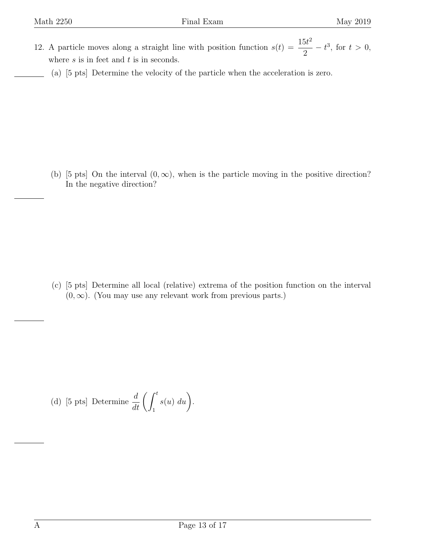- <span id="page-12-0"></span>12. A particle moves along a straight line with position function  $s(t) = \frac{15t^2}{2}$ 2  $-t^3$ , for  $t > 0$ , where  $s$  is in feet and  $t$  is in seconds.
	- (a) [5 pts] Determine the velocity of the particle when the acceleration is zero.

(b) [5 pts] On the interval  $(0, \infty)$ , when is the particle moving in the positive direction? In the negative direction?

(c) [5 pts] Determine all local (relative) extrema of the position function on the interval  $(0, \infty)$ . (You may use any relevant work from previous parts.)

(d) [5 pts] Determine 
$$
\frac{d}{dt} \left( \int_1^t s(u) \ du \right)
$$
.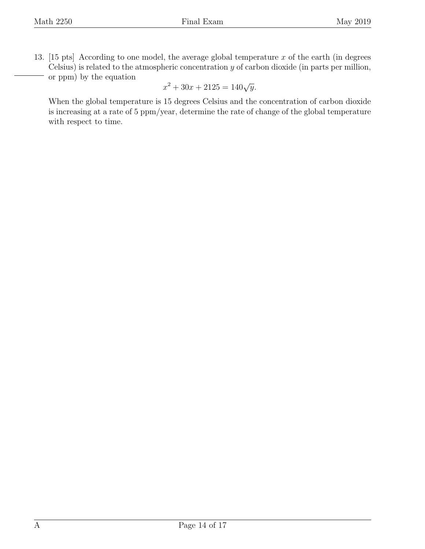<span id="page-13-0"></span>13. [15 pts] According to one model, the average global temperature x of the earth (in degrees Celsius) is related to the atmospheric concentration  $y$  of carbon dioxide (in parts per million, or ppm) by the equation

$$
x^2 + 30x + 2125 = 140\sqrt{y}.
$$

When the global temperature is 15 degrees Celsius and the concentration of carbon dioxide is increasing at a rate of 5 ppm/year, determine the rate of change of the global temperature with respect to time.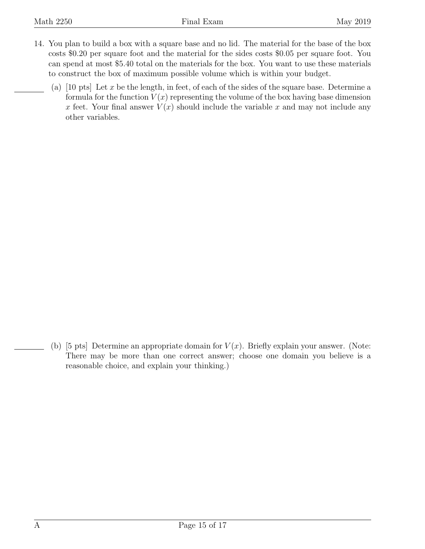- <span id="page-14-0"></span>14. You plan to build a box with a square base and no lid. The material for the base of the box costs \$0.20 per square foot and the material for the sides costs \$0.05 per square foot. You can spend at most \$5.40 total on the materials for the box. You want to use these materials to construct the box of maximum possible volume which is within your budget.
	- (a) [10 pts] Let x be the length, in feet, of each of the sides of the square base. Determine a formula for the function  $V(x)$  representing the volume of the box having base dimension x feet. Your final answer  $V(x)$  should include the variable x and may not include any other variables.

(b) [5 pts] Determine an appropriate domain for  $V(x)$ . Briefly explain your answer. (Note: There may be more than one correct answer; choose one domain you believe is a reasonable choice, and explain your thinking.)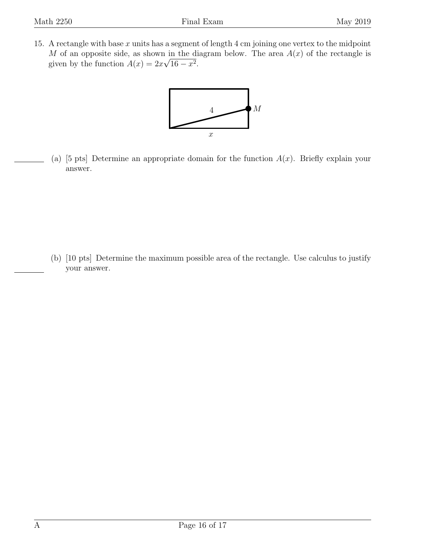<span id="page-15-0"></span>15. A rectangle with base  $x$  units has a segment of length  $4 \text{ cm}$  joining one vertex to the midpoint M of an opposite side, as shown in the diagram below. The area  $A(x)$  of the rectangle is given by the function  $A(x) = 2x\sqrt{16 - x^2}$ .



(a) [5 pts] Determine an appropriate domain for the function  $A(x)$ . Briefly explain your answer.

(b) [10 pts] Determine the maximum possible area of the rectangle. Use calculus to justify your answer.